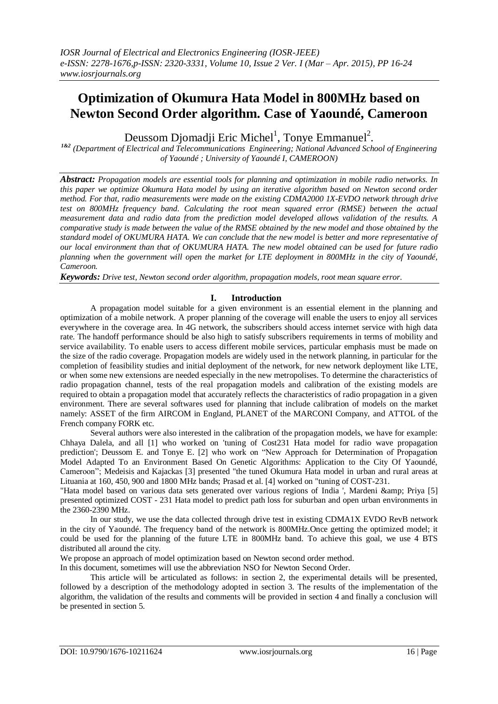# **Optimization of Okumura Hata Model in 800MHz based on Newton Second Order algorithm. Case of Yaoundé, Cameroon**

Deussom Djomadji Eric Michel<sup>1</sup>, Tonye Emmanuel<sup>2</sup>.

*1&2 (Department of Electrical and Telecommunications Engineering; National Advanced School of Engineering of Yaoundé ; University of Yaoundé I, CAMEROON)*

*Abstract: Propagation models are essential tools for planning and optimization in mobile radio networks. In this paper we optimize Okumura Hata model by using an iterative algorithm based on Newton second order method. For that, radio measurements were made on the existing CDMA2000 1X-EVDO network through drive test on 800MHz frequency band. Calculating the root mean squared error (RMSE) between the actual measurement data and radio data from the prediction model developed allows validation of the results. A comparative study is made between the value of the RMSE obtained by the new model and those obtained by the standard model of OKUMURA HATA. We can conclude that the new model is better and more representative of our local environment than that of OKUMURA HATA. The new model obtained can be used for future radio planning when the government will open the market for LTE deployment in 800MHz in the city of Yaoundé, Cameroon.*

*Keywords: Drive test, Newton second order algorithm, propagation models, root mean square error.*

## **I. Introduction**

A propagation model suitable for a given environment is an essential element in the planning and optimization of a mobile network. A proper planning of the coverage will enable the users to enjoy all services everywhere in the coverage area. In 4G network, the subscribers should access internet service with high data rate. The handoff performance should be also high to satisfy subscribers requirements in terms of mobility and service availability. To enable users to access different mobile services, particular emphasis must be made on the size of the radio coverage. Propagation models are widely used in the network planning, in particular for the completion of feasibility studies and initial deployment of the network, for new network deployment like LTE, or when some new extensions are needed especially in the new metropolises. To determine the characteristics of radio propagation channel, tests of the real propagation models and calibration of the existing models are required to obtain a propagation model that accurately reflects the characteristics of radio propagation in a given environment. There are several softwares used for planning that include calibration of models on the market namely: ASSET of the firm AIRCOM in England, PLANET of the MARCONI Company, and ATTOL of the French company FORK etc.

Several authors were also interested in the calibration of the propagation models, we have for example: Chhaya Dalela, and all [1] who worked on 'tuning of Cost231 Hata model for radio wave propagation prediction'; Deussom E. and Tonye E. [2] who work on "New Approach for Determination of Propagation Model Adapted To an Environment Based On Genetic Algorithms: Application to the City Of Yaoundé, Cameroon"; Medeisis and Kajackas [3] presented "the tuned Okumura Hata model in urban and rural areas at Lituania at 160, 450, 900 and 1800 MHz bands; Prasad et al. [4] worked on "tuning of COST-231.

"Hata model based on various data sets generated over various regions of India ', Mardeni & amp; Priya [5] presented optimized COST - 231 Hata model to predict path loss for suburban and open urban environments in the 2360-2390 MHz.

In our study, we use the data collected through drive test in existing CDMA1X EVDO RevB network in the city of Yaoundé. The frequency band of the network is 800MHz.Once getting the optimized model; it could be used for the planning of the future LTE in 800MHz band. To achieve this goal, we use 4 BTS distributed all around the city.

We propose an approach of model optimization based on Newton second order method.

In this document, sometimes will use the abbreviation NSO for Newton Second Order.

This article will be articulated as follows: in section 2, the experimental details will be presented, followed by a description of the methodology adopted in section 3. The results of the implementation of the algorithm, the validation of the results and comments will be provided in section 4 and finally a conclusion will be presented in section 5.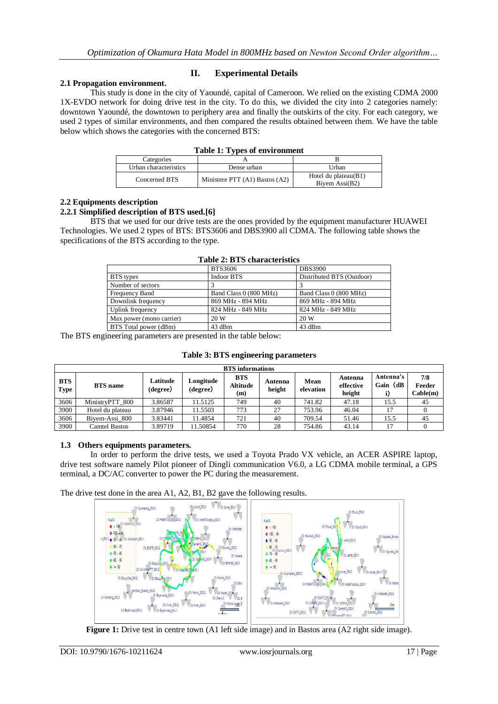## **2.1 Propagation environment.**

## **II. Experimental Details**

This study is done in the city of Yaoundé, capital of Cameroon. We relied on the existing CDMA 2000 1X-EVDO network for doing drive test in the city. To do this, we divided the city into 2 categories namely: downtown Yaoundé, the downtown to periphery area and finally the outskirts of the city. For each category, we used 2 types of similar environments, and then compared the results obtained between them. We have the table below which shows the categories with the concerned BTS:

| Categories            |                                    |                                                    |
|-----------------------|------------------------------------|----------------------------------------------------|
| Urban characteristics | Dense urban                        | Urban                                              |
| Concerned BTS         | Ministere PTT $(A1)$ Bastos $(A2)$ | Hotel du plateau $(B1)$<br>Biyem $\text{Assi}(B2)$ |

# **2.2 Equipments description**

## **2.2.1 Simplified description of BTS used.[6]**

BTS that we used for our drive tests are the ones provided by the equipment manufacturer HUAWEI Technologies. We used 2 types of BTS: BTS3606 and DBS3900 all CDMA. The following table shows the specifications of the BTS according to the type.

|                              | BTS3606                | <b>DBS3900</b>            |
|------------------------------|------------------------|---------------------------|
| BTS types                    | Indoor BTS             | Distributed BTS (Outdoor) |
| Number of sectors            |                        |                           |
| Frequency Band               | Band Class 0 (800 MHz) | Band Class 0 (800 MHz)    |
| Downlink frequency           | 869 MHz - 894 MHz      | 869 MHz - 894 MHz         |
| Uplink frequency             | 824 MHz - 849 MHz      | 824 MHz - 849 MHz         |
| Max power (mono carrier)     | 20 W                   | 20 W                      |
| <b>BTS</b> Total power (dBm) | 43 dBm                 | 43 dBm                    |

#### **Table 2: BTS characteristics**

The BTS engineering parameters are presented in the table below:

|                           | <b>BTS</b> informations |                      |                       |                                      |                   |                   |                                |                       |                           |  |  |  |
|---------------------------|-------------------------|----------------------|-----------------------|--------------------------------------|-------------------|-------------------|--------------------------------|-----------------------|---------------------------|--|--|--|
| <b>BTS</b><br><b>Type</b> | <b>BTS</b> name         | Latitude<br>(degree) | Longitude<br>(degree) | <b>BTS</b><br><b>Altitude</b><br>(m) | Antenna<br>height | Mean<br>elevation | Antenna<br>effective<br>height | Antenna's<br>Gain (dB | 7/8<br>Feeder<br>Cable(m) |  |  |  |
| 3606                      | MinistryPTT 800         | 3.86587              | 11.5125               | 749                                  | 40                | 741.82            | 47.18                          | 15.5                  | 45                        |  |  |  |
| 3900                      | Hotel du plateau        | 3.87946              | 1.5503                | 773                                  | 27                | 753.96            | 46.04                          | 17                    |                           |  |  |  |
| 3606                      | Biyem-Assi 800          | 3.83441              | 1.4854                | 721                                  | 40                | 709.54            | 51.46                          | 15.5                  | 45                        |  |  |  |
| 3900                      | Camtel Bastos           | 3.89719              | 11.50854              | 770                                  | 28                | 754.86            | 43.14                          | 17                    |                           |  |  |  |

**Table 3: BTS engineering parameters**

## **1.3 Others equipments parameters.**

In order to perform the drive tests, we used a Toyota Prado VX vehicle, an ACER ASPIRE laptop, drive test software namely Pilot pioneer of Dingli communication V6.0, a LG CDMA mobile terminal, a GPS terminal, a DC/AC converter to power the PC during the measurement.

The drive test done in the area A1, A2, B1, B2 gave the following results.



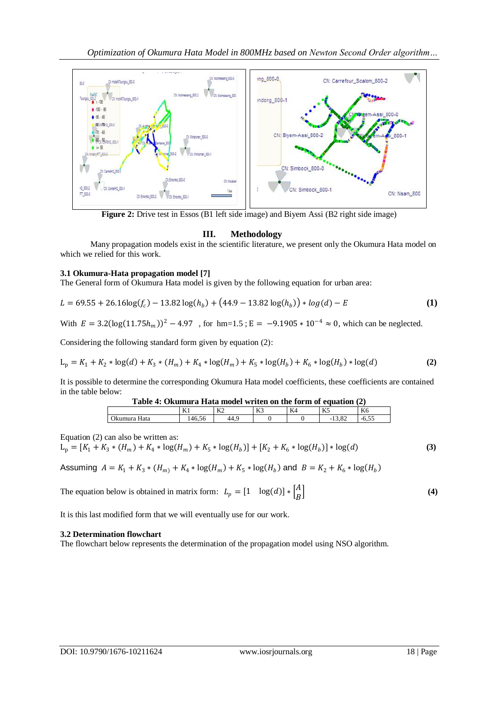

**Figure 2:** Drive test in Essos (B1 left side image) and Biyem Assi (B2 right side image)

## **III. Methodology**

Many propagation models exist in the scientific literature, we present only the Okumura Hata model on which we relied for this work.

## **3.1 Okumura-Hata propagation model [7]**

The General form of Okumura Hata model is given by the following equation for urban area:

$$
L = 69.55 + 26.16 \log(f_c) - 13.82 \log(h_b) + (44.9 - 13.82 \log(h_b)) * \log(d) - E \tag{1}
$$

With  $E = 3.2(\log(11.75h_m))^2 - 4.97$ , for hm=1.5;  $E = -9.1905 * 10^{-4} \approx 0$ , which can be neglected.

Considering the following standard form given by equation (2):

$$
L_p = K_1 + K_2 * \log(d) + K_3 * (H_m) + K_4 * \log(H_m) + K_5 * \log(H_b) + K_6 * \log(H_b) * \log(d)
$$
 (2)

It is possible to determine the corresponding Okumura Hata model coefficients, these coefficients are contained in the table below:

| Table 4: Okumura Hata model writen on the form of equation (2) |        |      |  |  |          |  |  |  |
|----------------------------------------------------------------|--------|------|--|--|----------|--|--|--|
| K <sub>2</sub><br>K3<br>K6<br>K4<br>K1                         |        |      |  |  |          |  |  |  |
| Okumura Hata                                                   | 146.56 | 44.9 |  |  | $-13.82$ |  |  |  |

Equation (2) can also be written as:

$$
L_p = [K_1 + K_3 * (H_m) + K_4 * \log(H_m) + K_5 * \log(H_b)] + [K_2 + K_6 * \log(H_b)] * \log(d)
$$
\n(3)

Assuming  $A = K_1 + K_3 * (H_m) + K_4 * \log(H_m) + K_5 * \log(H_b)$  and  $B = K_2 + K_6 * \log(H_b)$ 

The equation below is obtained in matrix form:  $L_p = [1 \log(d)] * \begin{bmatrix} A \\ B \end{bmatrix}$  $\boldsymbol{B}$ **(4)**

It is this last modified form that we will eventually use for our work.

## **3.2 Determination flowchart**

The flowchart below represents the determination of the propagation model using NSO algorithm.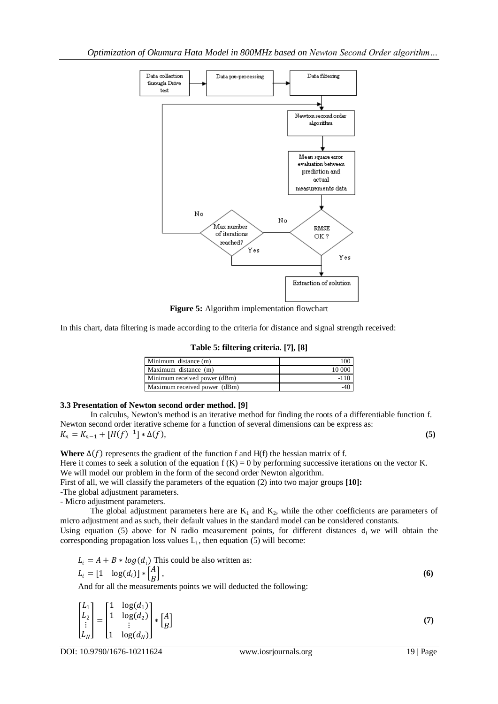

**Figure 5:** Algorithm implementation flowchart

In this chart, data filtering is made according to the criteria for distance and signal strength received:

**Table 5: filtering criteria. [7], [8]**

| Minimum distance (m)         |        |
|------------------------------|--------|
| Maximum distance (m)         | 10 000 |
| Minimum received power (dBm) |        |
| Maximum received power (dBm) |        |

#### **3.3 Presentation of Newton second order method. [9]**

In calculus, Newton's method is an iterative method for finding the roots of a differentiable function f. Newton second order iterative scheme for a function of several dimensions can be express as:  $K_n = K_{n-1} + [H(f)^{-1}] * \Delta(f),$  (5)

**Where**  $\Delta(f)$  represents the gradient of the function f and H(f) the hessian matrix of f. Here it comes to seek a solution of the equation  $f(K) = 0$  by performing successive iterations on the vector K. We will model our problem in the form of the second order Newton algorithm.

First of all, we will classify the parameters of the equation (2) into two major groups **[10]:**

-The global adjustment parameters. - Micro adjustment parameters.

The global adjustment parameters here are  $K_1$  and  $K_2$ , while the other coefficients are parameters of micro adjustment and as such, their default values in the standard model can be considered constants.

Using equation (5) above for N radio measurement points, for different distances  $d_i$  we will obtain the corresponding propagation loss values  $L_i$ , then equation (5) will become:

$$
L_i = A + B * log(d_i)
$$
 This could be also written as:  
\n
$$
L_i = [1 \log(d_i)] * [A] \tag{6}
$$
\nAnd for all the measurements points we will deduced the following:

And for all the measurements points we will deducted the following:

$$
\begin{bmatrix} L_1 \\ L_2 \\ \vdots \\ L_N \end{bmatrix} = \begin{bmatrix} 1 & \log(d_1) \\ 1 & \log(d_2) \\ \vdots \\ 1 & \log(d_N) \end{bmatrix} * \begin{bmatrix} A \\ B \end{bmatrix}
$$
 (7)

DOI: 10.9790/1676-10211624 www.iosrjournals.org 19 | Page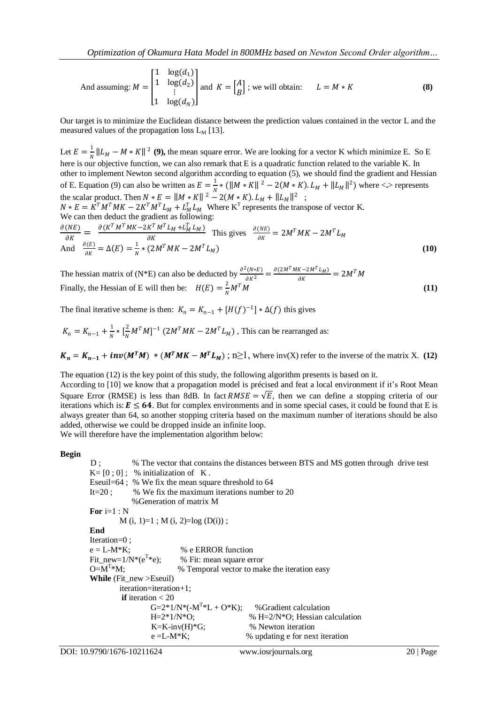And assuming: 
$$
M = \begin{bmatrix} 1 & \log(d_1) \\ 1 & \log(d_2) \\ \vdots \\ 1 & \log(d_N) \end{bmatrix}
$$
 and  $K = \begin{bmatrix} A \\ B \end{bmatrix}$ ; we will obtain:  $L = M * K$  (8)

Our target is to minimize the Euclidean distance between the prediction values contained in the vector L and the measured values of the propagation loss  $L_M$  [13].

Let  $E=\frac{1}{N}$  $\frac{1}{N} ||L_M - M * K||^2$  (9), the mean square error. We are looking for a vector K which minimize E. So E here is our objective function, we can also remark that E is a quadratic function related to the variable K. In other to implement Newton second algorithm according to equation (5), we should find the gradient and Hessian of E. Equation (9) can also be written as  $E = \frac{1}{N}$  $\frac{1}{N}$  \* (  $\|M * K\|^2 - 2(M * K)$ .  $L_M + \|L_M\|^2$  ) where <.> represents the scalar product. Then  $N * E = ||M * K||^2 - 2(M * K) L_M + ||L_M||^2$ ;  $N * E = K^T M^T M K - 2K^T M^T L_M + L_M^T L_M$  Where K<sup>T</sup> represents the transpose of vector K. We can then deduct the gradient as following:  $\partial(NE)$  $\frac{\partial (K^T M^T M K - 2K^T M^T L_M + L_M^T L_M)}{\partial K}$  $\frac{K^T M^T L_M + L_M L_M}{\partial K}$  This gives  $\frac{\partial (NE)}{\partial K}$  $\frac{(NE)}{\partial K} = 2M^T MK - 2M^T L_M$ And  $\frac{\partial(E)}{\partial W}$  $\frac{\partial(E)}{\partial K} = \Delta(E) = \frac{1}{N}$  $\frac{1}{N} * (2M^T MK - 2M^T L_M)$  (10)

The hessian matrix of (N\*E) can also be deducted by  $\frac{\partial^2 (N * E)}{\partial K^2} = \frac{\partial (2M^T M K - 2M^T L_M)}{\partial K}$  $\frac{K-2M^2 L_M}{\partial K} = 2M^T M$ Finally, the Hessian of E will then be:  $H(E) = \frac{2}{N}$ N  $M^T M$  (11)

The final iterative scheme is then:  $K_n = K_{n-1} + [H(f)^{-1}] * \Delta(f)$  this gives

$$
K_n = K_{n-1} + \frac{1}{N} * \left[\frac{2}{N}M^T M\right]^{-1} \left(2M^T M K - 2M^T L_M\right)
$$
, This can be rearranged as:

 $K_n = K_{n-1} + inv(M^T M) * (M^T M K - M^T L_M)$ ; n≥1, where inv(X) refer to the inverse of the matrix X. (12)

The equation (12) is the key point of this study, the following algorithm presents is based on it.

According to [10] we know that a propagation model is précised and feat a local environment if it's Root Mean Square Error (RMSE) is less than 8dB. In fact  $RMSE = \sqrt{E}$ , then we can define a stopping criteria of our iterations which is:  $E \le 64$ . But for complex environments and in some special cases, it could be found that E is always greater than 64, so another stopping criteria based on the maximum number of iterations should be also added, otherwise we could be dropped inside an infinite loop. We will therefore have the implementation algorithm below:

**Begin**

```
D ; \% The vector that contains the distances between BTS and MS gotten through drive test
K=[0;0]; % initialization of K.
Eseuil=64 ; % We fix the mean square threshold to 64
It=20 ; \% We fix the maximum iterations number to 20
            %Generation of matrix M
For i=1 : N 
        M(i, 1)=1; M(i, 2)=log(D(i));
End
Iteration=0 ;
e = L-M*K; % e ERROR function
Fit_new=1/N^*(e^{T*}e);
                        % Fit: mean square error
O=M^{T*}M;% Temporal vector to make the iteration easy
While (Fit_new >Eseuil)
       iteration=iteration+1;
        if iteration < 20 
                G=2*1/N*(-M<sup>T</sup>)% Gradient calculation
                H=2*1/N*O; \% H=2/N*O; Hessian calculation
                K=K-inv(H)*G; % Newton iteration
                e = L-M*K; % \text{ updating } e \text{ for next iteration}
```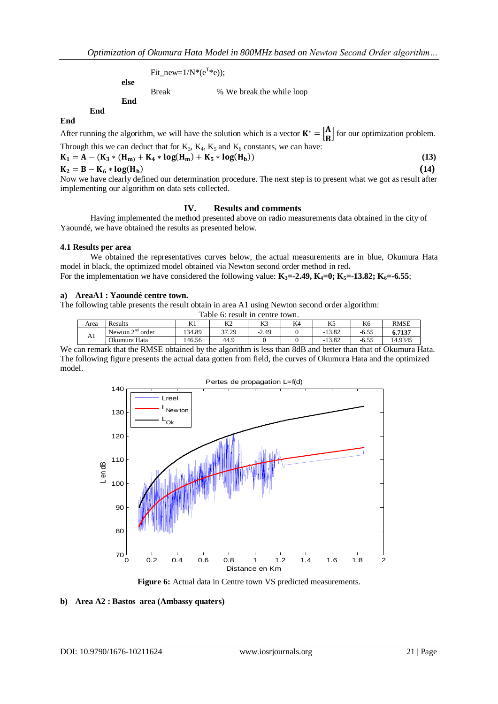$Fit\_new=1/N^*(e^{T*}e)$ ; **else** Break % We break the while loop **End**

**End**

After running the algorithm, we will have the solution which is a vector  $\mathbf{K}^* = \begin{bmatrix} \mathbf{A}^T & \mathbf{A} \\ \mathbf{B}^T & \mathbf{A} \end{bmatrix}$  $\left[\begin{array}{c}\mathbf{f}\\ \hline \mathbf{g}\end{array}\right]$  for our optimization problem. Through this we can deduct that for  $K_3$ ,  $K_4$ ,  $K_5$  and  $K_6$  constants, we can have:  $- A - (K_{-} * (H_{+} + K_{+} * \log(H_{+}) + K_{-} * \log(H_{+})))$ ) **(13)**

$$
K_1 - A = (K_3 * (H_m) + K_4 * (G_m) + K_5 * (G_m))
$$
  
\n
$$
K_2 = B - K_6 * (G_m)
$$
 (13)

$$
K_2 = B - K_6 * log(H_b)
$$

**End**

Now we have clearly defined our determination procedure. The next step is to present what we got as result after implementing our algorithm on data sets collected.

#### **IV. Results and comments**

Having implemented the method presented above on radio measurements data obtained in the city of Yaoundé, we have obtained the results as presented below.

#### **4.1 Results per area**

We obtained the representatives curves below, the actual measurements are in blue, Okumura Hata model in black, the optimized model obtained via Newton second order method in red**.** For the implementation we have considered the following value:  $\mathbf{K}_3 = -2.49$ ,  $\mathbf{K}_4 = 0$ ;  $\mathbf{K}_5 = -13.82$ ;  $\mathbf{K}_6 = -6.55$ ;

#### **a) AreaA1 : Yaoundé centre town.**

The following table presents the result obtain in area A1 using Newton second order algorithm: Table 6: result in centre town.

|      | гаоте от геѕин ні сепие town.         |            |       |         |    |                |         |             |  |  |
|------|---------------------------------------|------------|-------|---------|----|----------------|---------|-------------|--|--|
| Area | Results                               | 17 ·<br>Δl | K2    | K3      | K4 | W              | K6      | <b>RMSE</b> |  |  |
|      | $\sim$ nd<br>order<br>Newton $\angle$ | 134.89     | 37.29 | $-2.49$ |    | 1202<br>-13.82 | $-6.55$ | 6.7137      |  |  |
| Al   | Okumura Hata                          | 46.56      | 44.9  |         |    | $-13.82$       | $-6.55$ | 14.9345     |  |  |

We can remark that the RMSE obtained by the algorithm is less than 8dB and better than that of Okumura Hata. The following figure presents the actual data gotten from field, the curves of Okumura Hata and the optimized model.



Figure 6: Actual data in Centre town VS predicted measurements.

#### **b) Area A2 : Bastos area (Ambassy quaters)**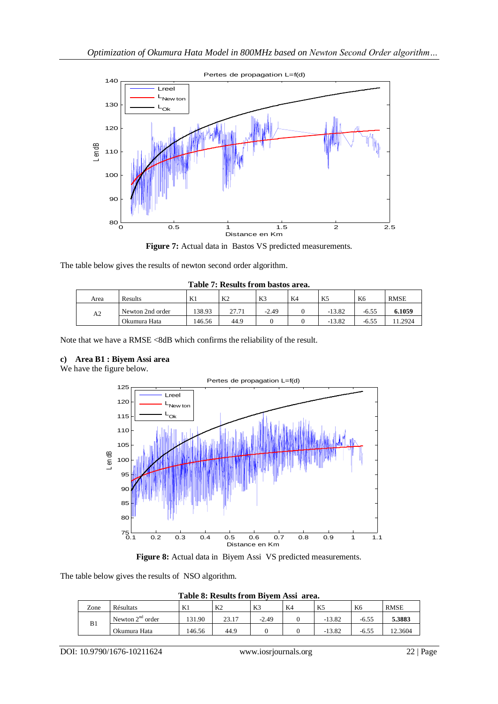

**Figure 7:** Actual data in Bastos VS predicted measurements.

The table below gives the results of newton second order algorithm.

| Table 7: Results from bastos area. |                  |        |                |         |    |          |         |             |  |
|------------------------------------|------------------|--------|----------------|---------|----|----------|---------|-------------|--|
| Area                               | Results          | K1     | K <sub>2</sub> | K3      | K4 | K5       | K6      | <b>RMSE</b> |  |
| A2                                 | Newton 2nd order | 138.93 | 27.71          | $-2.49$ |    | $-13.82$ | $-6.55$ | 6.1059      |  |
|                                    | Okumura Hata     | 146.56 | 44.9           |         |    | $-13.82$ | $-6.55$ | 1.2924      |  |

Note that we have a RMSE <8dB which confirms the reliability of the result.

## **c) Area B1 : Biyem Assi area**

We have the figure below.



**Figure 8:** Actual data in Biyem Assi VS predicted measurements.

The table below gives the results of NSO algorithm.

|  | Table 8: Results from Biyem Assi area. |  |  |
|--|----------------------------------------|--|--|
|  |                                        |  |  |

| Zone | Résultats             | K1     | K <sub>2</sub> | K3      | K4 | K.       | K <sub>6</sub> | <b>RMSE</b> |
|------|-----------------------|--------|----------------|---------|----|----------|----------------|-------------|
| B1   | Newton $2nd$<br>order | 131.90 | 23.17          | $-2.49$ |    | $-13.82$ | $-6.55$        | 5.3883      |
|      | Okumura Hata          | 146.56 | 44.9           |         |    | $-13.82$ | $-6.55$        | 2.3604      |

DOI: 10.9790/1676-10211624 www.iosrjournals.org 22 | Page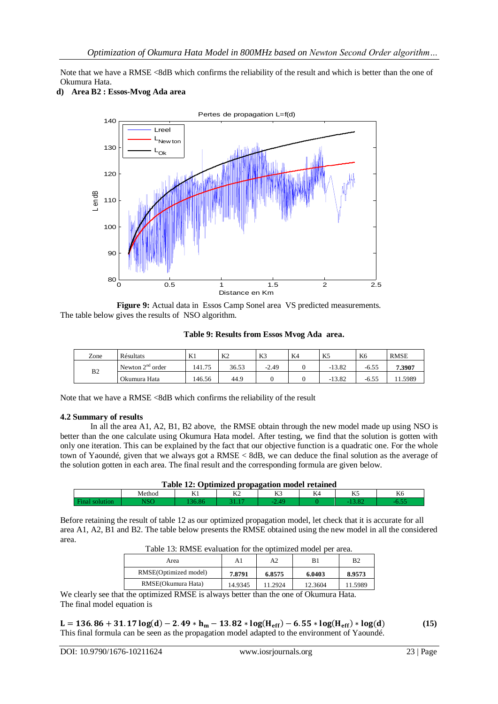Note that we have a RMSE <8dB which confirms the reliability of the result and which is better than the one of Okumura Hata.



**d) Area B2 : Essos-Mvog Ada area**

**Figure 9:** Actual data in Essos Camp Sonel area VS predicted measurements. The table below gives the results of NSO algorithm.

**Table 9: Results from Essos Mvog Ada area.**

| Zone           | Résultats          | K1     | K <sub>2</sub> | K3      | K4 | K <sub>5</sub> | K6      | <b>RMSE</b> |
|----------------|--------------------|--------|----------------|---------|----|----------------|---------|-------------|
|                | Newton $2nd$ order | 141.75 | 36.53          | $-2.49$ |    | $-13.82$       | $-6.55$ | 7.3907      |
| B <sub>2</sub> | Okumura Hata       | 146.56 | 44.9           |         |    | $-13.82$       | $-6.55$ | 11.5989     |

Note that we have a RMSE <8dB which confirms the reliability of the result

#### **4.2 Summary of results**

In all the area A1, A2, B1, B2 above, the RMSE obtain through the new model made up using NSO is better than the one calculate using Okumura Hata model. After testing, we find that the solution is gotten with only one iteration. This can be explained by the fact that our objective function is a quadratic one. For the whole town of Yaoundé, given that we always got a RMSE < 8dB, we can deduce the final solution as the average of the solution gotten in each area. The final result and the corresponding formula are given below.

| Table 12: Optimized propagation model retained |                                       |  |  |  |  |            |  |  |  |
|------------------------------------------------|---------------------------------------|--|--|--|--|------------|--|--|--|
|                                                | T/T<br>v.<br>K6<br>Method<br>ΔZ<br>n. |  |  |  |  |            |  |  |  |
| ⊣ïnal                                          |                                       |  |  |  |  | <b>COL</b> |  |  |  |

Before retaining the result of table 12 as our optimized propagation model, let check that it is accurate for all area A1, A2, B1 and B2. The table below presents the RMSE obtained using the new model in all the considered area.

| Area                  | A1      | A2      | B1      | B2      |
|-----------------------|---------|---------|---------|---------|
| RMSE(Optimized model) | 7.8791  | 6.8575  | 6.0403  | 8.9573  |
| RMSE(Okumura Hata)    | 14.9345 | 11.2924 | 12.3604 | 11.5989 |

We clearly see that the optimized RMSE is always better than the one of Okumura Hata. The final model equation is

 $L = 136.86 + 31.17 \log(d) - 2.49 * h_m - 13.82 * \log(H_{eff}) - 6.55 * \log(H_{eff}) * \log(d)$  (15) This final formula can be seen as the propagation model adapted to the environment of Yaoundé.